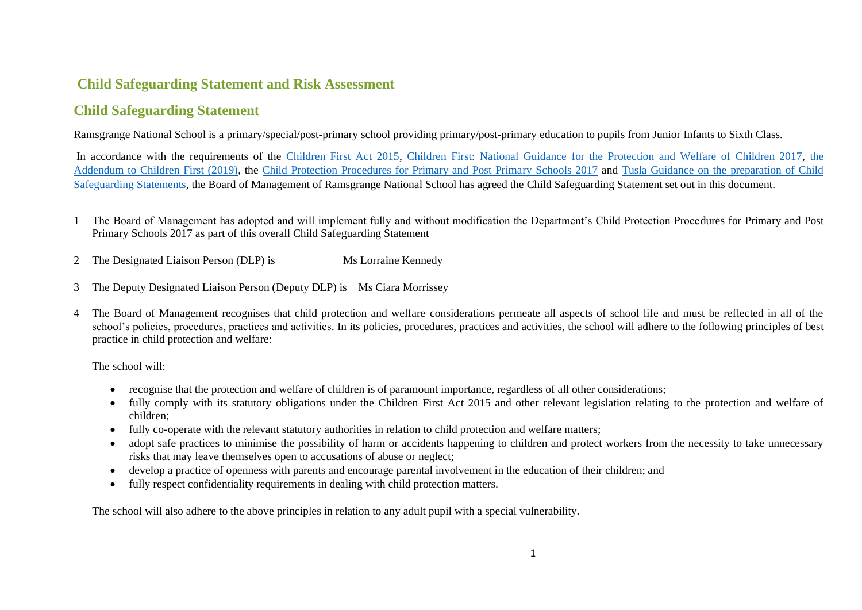# **Child Safeguarding Statement and Risk Assessment**

## **Child Safeguarding Statement**

Ramsgrange National School is a primary/special/post-primary school providing primary/post-primary education to pupils from Junior Infants to Sixth Class.

In accordance with the requirements of the [Children First Act 2015,](http://www.irishstatutebook.ie/eli/2015/act/36/enacted/en/pdf) [Children First: National Guidance for the Protection and Welfare of Children 2017,](https://assets.gov.ie/25844/b90aafa55804462f84d05f87f0ca2bf6.pdf) [the](https://assets.gov.ie/25819/c9744b64dfd6447985eeffa5c0d71bbb.pdf)  [Addendum to Children First \(2019\),](https://assets.gov.ie/25819/c9744b64dfd6447985eeffa5c0d71bbb.pdf) the [Child Protection Procedures for Primary and Post Primary Schools 2017](https://www.gov.ie/pdf/?file=https://assets.gov.ie/45063/2d4b5b3d781e4ec1ab4f3e5d198717d9.pdf#page=1) and [Tusla Guidance on the preparation of Child](https://www.tusla.ie/uploads/content/4214-TUSLA_Guidance_on_Developing_a_CSS_LR.PDF)  [Safeguarding Statements,](https://www.tusla.ie/uploads/content/4214-TUSLA_Guidance_on_Developing_a_CSS_LR.PDF) the Board of Management of Ramsgrange National School has agreed the Child Safeguarding Statement set out in this document.

- 1 The Board of Management has adopted and will implement fully and without modification the Department's Child Protection Procedures for Primary and Post Primary Schools 2017 as part of this overall Child Safeguarding Statement
- 2 The Designated Liaison Person (DLP) is Ms Lorraine Kennedy
- 3 The Deputy Designated Liaison Person (Deputy DLP) is Ms Ciara Morrissey
- 4 The Board of Management recognises that child protection and welfare considerations permeate all aspects of school life and must be reflected in all of the school's policies, procedures, practices and activities. In its policies, procedures, practices and activities, the school will adhere to the following principles of best practice in child protection and welfare:

The school will:

- recognise that the protection and welfare of children is of paramount importance, regardless of all other considerations;
- fully comply with its statutory obligations under the Children First Act 2015 and other relevant legislation relating to the protection and welfare of children;
- fully co-operate with the relevant statutory authorities in relation to child protection and welfare matters;
- adopt safe practices to minimise the possibility of harm or accidents happening to children and protect workers from the necessity to take unnecessary risks that may leave themselves open to accusations of abuse or neglect;
- develop a practice of openness with parents and encourage parental involvement in the education of their children; and
- fully respect confidentiality requirements in dealing with child protection matters.

The school will also adhere to the above principles in relation to any adult pupil with a special vulnerability.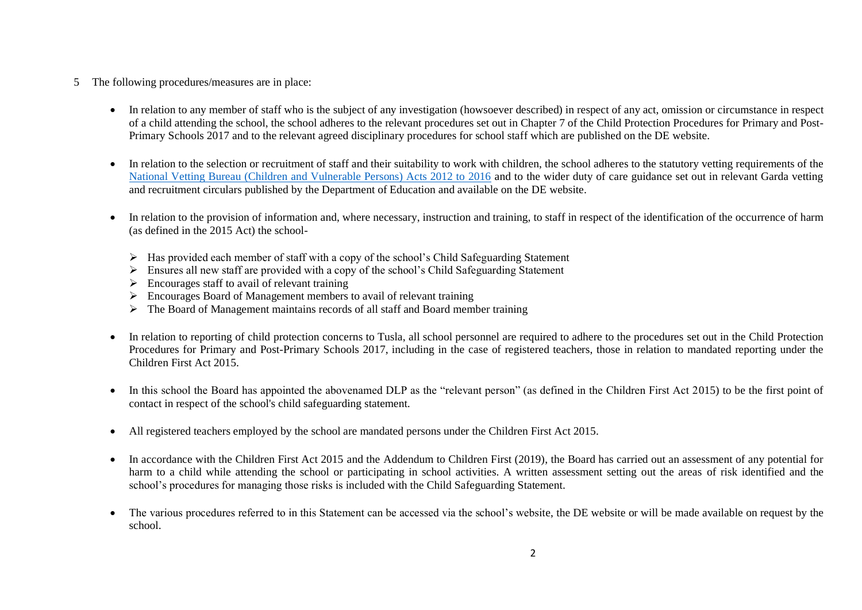- 5 The following procedures/measures are in place:
	- In relation to any member of staff who is the subject of any investigation (howsoever described) in respect of any act, omission or circumstance in respect of a child attending the school, the school adheres to the relevant procedures set out in Chapter 7 of the Child Protection Procedures for Primary and Post-Primary Schools 2017 and to the relevant agreed disciplinary procedures for school staff which are published on the DE website.
	- In relation to the selection or recruitment of staff and their suitability to work with children, the school adheres to the statutory vetting requirements of the [National Vetting Bureau \(Children and Vulnerable Persons\) Acts 2012 to 2016](https://revisedacts.lawreform.ie/eli/2012/act/47/revised/en/pdf) and to the wider duty of care guidance set out in relevant Garda vetting and recruitment circulars published by the Department of Education and available on the DE website.
	- In relation to the provision of information and, where necessary, instruction and training, to staff in respect of the identification of the occurrence of harm (as defined in the 2015 Act) the school-
		- ➢ Has provided each member of staff with a copy of the school's Child Safeguarding Statement
		- $\triangleright$  Ensures all new staff are provided with a copy of the school's Child Safeguarding Statement
		- $\triangleright$  Encourages staff to avail of relevant training
		- ➢ Encourages Board of Management members to avail of relevant training
		- $\triangleright$  The Board of Management maintains records of all staff and Board member training
	- In relation to reporting of child protection concerns to Tusla, all school personnel are required to adhere to the procedures set out in the Child Protection Procedures for Primary and Post-Primary Schools 2017, including in the case of registered teachers, those in relation to mandated reporting under the Children First Act 2015.
	- In this school the Board has appointed the abovenamed DLP as the "relevant person" (as defined in the Children First Act 2015) to be the first point of contact in respect of the school's child safeguarding statement.
	- All registered teachers employed by the school are mandated persons under the Children First Act 2015.
	- In accordance with the Children First Act 2015 and the Addendum to Children First (2019), the Board has carried out an assessment of any potential for harm to a child while attending the school or participating in school activities. A written assessment setting out the areas of risk identified and the school's procedures for managing those risks is included with the Child Safeguarding Statement.
	- The various procedures referred to in this Statement can be accessed via the school's website, the DE website or will be made available on request by the school.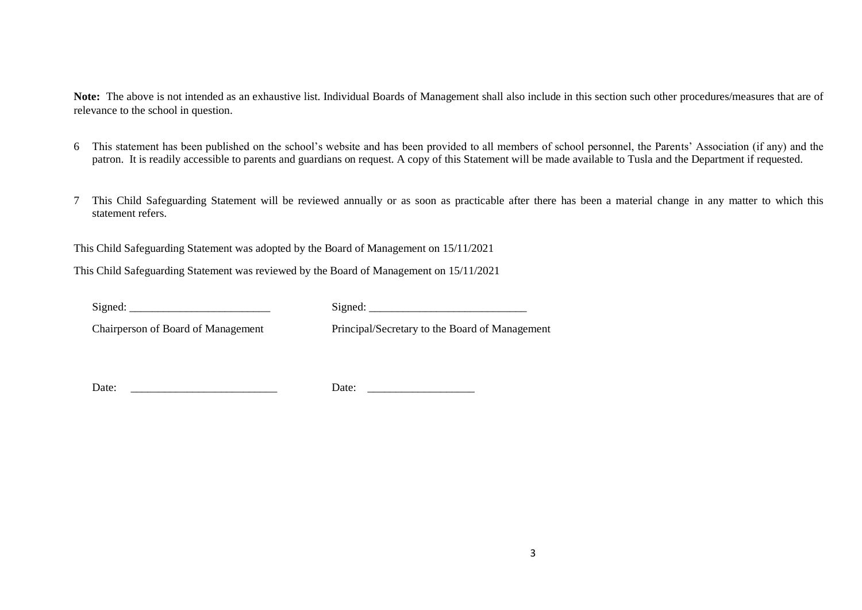**Note:** The above is not intended as an exhaustive list. Individual Boards of Management shall also include in this section such other procedures/measures that are of relevance to the school in question.

- 6 This statement has been published on the school's website and has been provided to all members of school personnel, the Parents' Association (if any) and the patron. It is readily accessible to parents and guardians on request. A copy of this Statement will be made available to Tusla and the Department if requested.
- 7 This Child Safeguarding Statement will be reviewed annually or as soon as practicable after there has been a material change in any matter to which this statement refers.

This Child Safeguarding Statement was adopted by the Board of Management on 15/11/2021

This Child Safeguarding Statement was reviewed by the Board of Management on 15/11/2021

Signed:  $Signed:$ 

Chairperson of Board of Management Principal/Secretary to the Board of Management

Date: Letter and the contract of the contract of the contract of the contract of the contract of the contract of the contract of the contract of the contract of the contract of the contract of the contract of the contract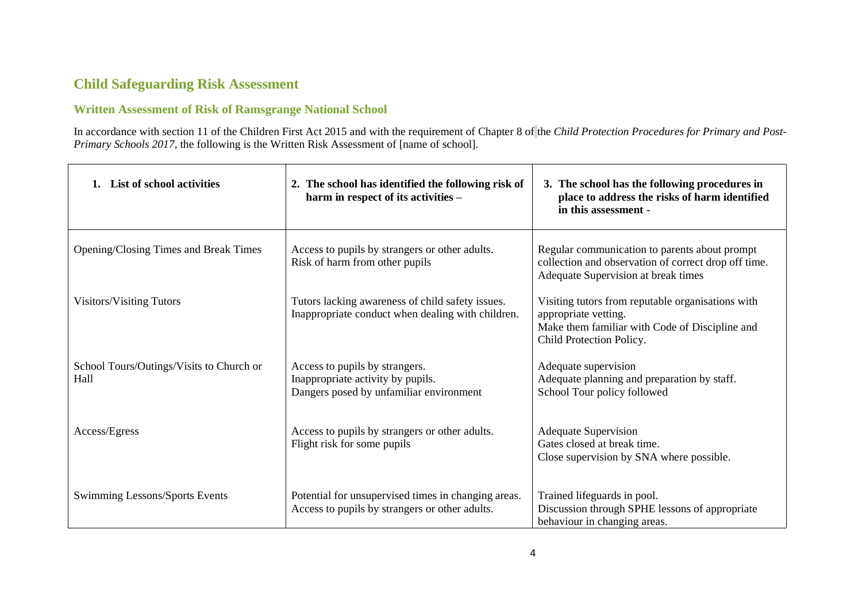## **Child Safeguarding Risk Assessment**

### **Written Assessment of Risk of Ramsgrange National School**

In accordance with section 11 of the Children First Act 2015 and with the requirement of Chapter 8 of the *Child Protection Procedures for Primary and Post-Primary Schools 2017*, the following is the Written Risk Assessment of [name of school].

| List of school activities                        | 2. The school has identified the following risk of<br>harm in respect of its activities -                      | 3. The school has the following procedures in<br>place to address the risks of harm identified<br>in this assessment -                                  |
|--------------------------------------------------|----------------------------------------------------------------------------------------------------------------|---------------------------------------------------------------------------------------------------------------------------------------------------------|
| Opening/Closing Times and Break Times            | Access to pupils by strangers or other adults.<br>Risk of harm from other pupils                               | Regular communication to parents about prompt<br>collection and observation of correct drop off time.<br>Adequate Supervision at break times            |
| <b>Visitors/Visiting Tutors</b>                  | Tutors lacking awareness of child safety issues.<br>Inappropriate conduct when dealing with children.          | Visiting tutors from reputable organisations with<br>appropriate vetting.<br>Make them familiar with Code of Discipline and<br>Child Protection Policy. |
| School Tours/Outings/Visits to Church or<br>Hall | Access to pupils by strangers.<br>Inappropriate activity by pupils.<br>Dangers posed by unfamiliar environment | Adequate supervision<br>Adequate planning and preparation by staff.<br>School Tour policy followed                                                      |
| Access/Egress                                    | Access to pupils by strangers or other adults.<br>Flight risk for some pupils                                  | <b>Adequate Supervision</b><br>Gates closed at break time.<br>Close supervision by SNA where possible.                                                  |
| Swimming Lessons/Sports Events                   | Potential for unsupervised times in changing areas.<br>Access to pupils by strangers or other adults.          | Trained lifeguards in pool.<br>Discussion through SPHE lessons of appropriate<br>behaviour in changing areas.                                           |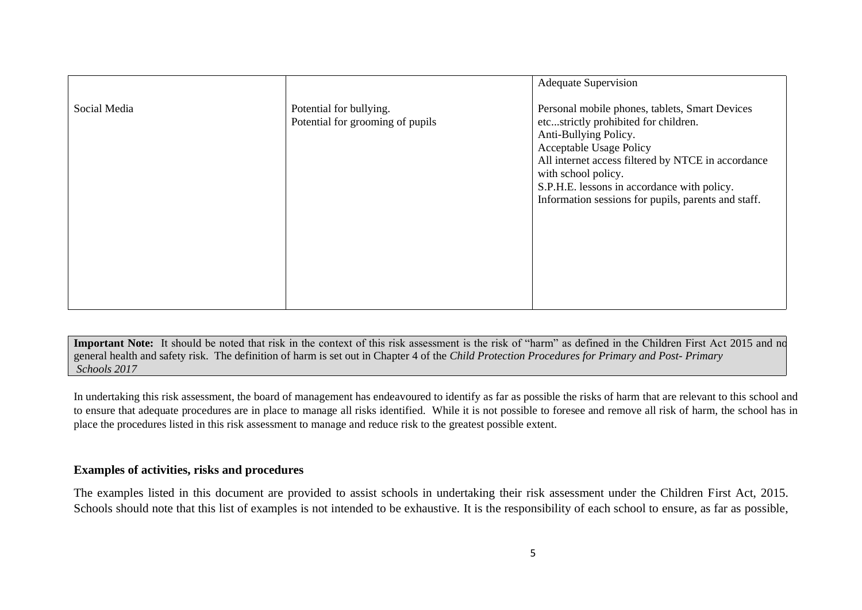|              |                                                             | <b>Adequate Supervision</b>                                                                                                                                                                                                                                                                                                          |
|--------------|-------------------------------------------------------------|--------------------------------------------------------------------------------------------------------------------------------------------------------------------------------------------------------------------------------------------------------------------------------------------------------------------------------------|
| Social Media | Potential for bullying.<br>Potential for grooming of pupils | Personal mobile phones, tablets, Smart Devices<br>etcstrictly prohibited for children.<br>Anti-Bullying Policy.<br><b>Acceptable Usage Policy</b><br>All internet access filtered by NTCE in accordance<br>with school policy.<br>S.P.H.E. lessons in accordance with policy.<br>Information sessions for pupils, parents and staff. |

Important Note: It should be noted that risk in the context of this risk assessment is the risk of "harm" as defined in the Children First Act 2015 and no general health and safety risk. The definition of harm is set out in Chapter 4 of the *Child Protection Procedures for Primary and Post- Primary Schools 2017*

In undertaking this risk assessment, the board of management has endeavoured to identify as far as possible the risks of harm that are relevant to this school and to ensure that adequate procedures are in place to manage all risks identified. While it is not possible to foresee and remove all risk of harm, the school has in place the procedures listed in this risk assessment to manage and reduce risk to the greatest possible extent.

#### **Examples of activities, risks and procedures**

The examples listed in this document are provided to assist schools in undertaking their risk assessment under the Children First Act, 2015. Schools should note that this list of examples is not intended to be exhaustive. It is the responsibility of each school to ensure, as far as possible,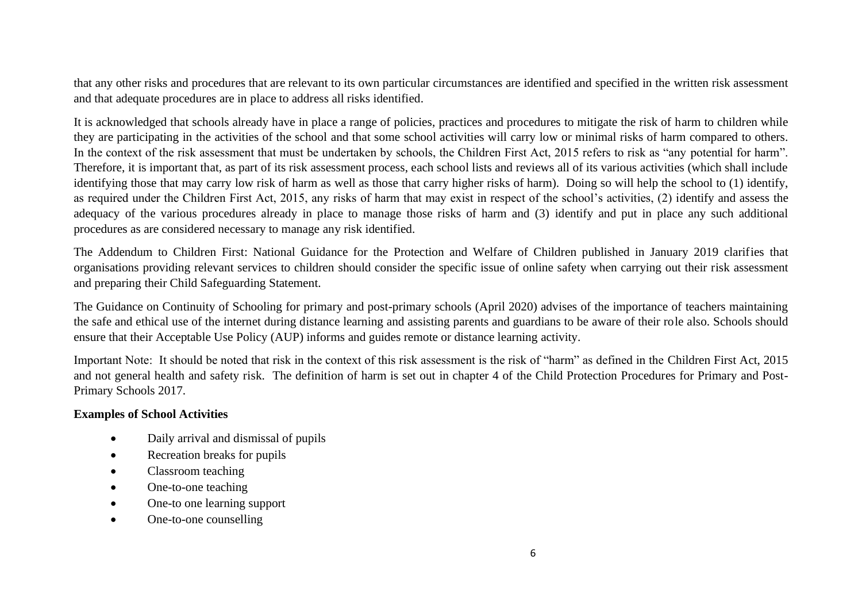that any other risks and procedures that are relevant to its own particular circumstances are identified and specified in the written risk assessment and that adequate procedures are in place to address all risks identified.

It is acknowledged that schools already have in place a range of policies, practices and procedures to mitigate the risk of harm to children while they are participating in the activities of the school and that some school activities will carry low or minimal risks of harm compared to others. In the context of the risk assessment that must be undertaken by schools, the Children First Act, 2015 refers to risk as "any potential for harm". Therefore, it is important that, as part of its risk assessment process, each school lists and reviews all of its various activities (which shall include identifying those that may carry low risk of harm as well as those that carry higher risks of harm). Doing so will help the school to (1) identify, as required under the Children First Act, 2015, any risks of harm that may exist in respect of the school's activities, (2) identify and assess the adequacy of the various procedures already in place to manage those risks of harm and (3) identify and put in place any such additional procedures as are considered necessary to manage any risk identified.

The Addendum to Children First: National Guidance for the Protection and Welfare of Children published in January 2019 clarifies that organisations providing relevant services to children should consider the specific issue of online safety when carrying out their risk assessment and preparing their Child Safeguarding Statement.

The Guidance on Continuity of Schooling for primary and post-primary schools (April 2020) advises of the importance of teachers maintaining the safe and ethical use of the internet during distance learning and assisting parents and guardians to be aware of their role also. Schools should ensure that their Acceptable Use Policy (AUP) informs and guides remote or distance learning activity.

Important Note: It should be noted that risk in the context of this risk assessment is the risk of "harm" as defined in the Children First Act, 2015 and not general health and safety risk. The definition of harm is set out in chapter 4 of the Child Protection Procedures for Primary and Post-Primary Schools 2017.

#### **Examples of School Activities**

- Daily arrival and dismissal of pupils
- Recreation breaks for pupils
- Classroom teaching
- One-to-one teaching
- One-to one learning support
- One-to-one counselling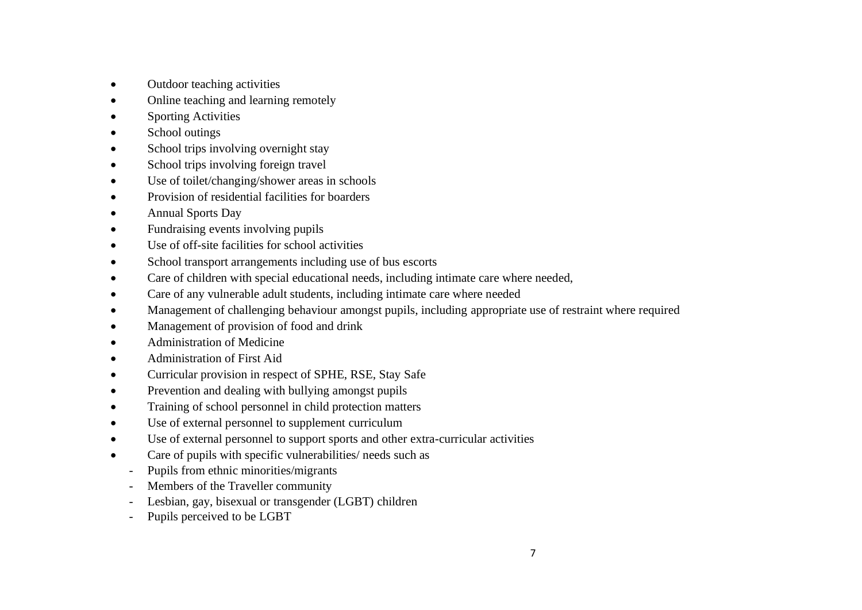- Outdoor teaching activities
- Online teaching and learning remotely
- **Sporting Activities**
- School outings
- School trips involving overnight stay
- School trips involving foreign travel
- Use of toilet/changing/shower areas in schools
- Provision of residential facilities for boarders
- Annual Sports Day
- Fundraising events involving pupils
- Use of off-site facilities for school activities
- School transport arrangements including use of bus escorts
- Care of children with special educational needs, including intimate care where needed,
- Care of any vulnerable adult students, including intimate care where needed
- Management of challenging behaviour amongst pupils, including appropriate use of restraint where required
- Management of provision of food and drink
- Administration of Medicine
- Administration of First Aid
- Curricular provision in respect of SPHE, RSE, Stay Safe
- Prevention and dealing with bullying amongst pupils
- Training of school personnel in child protection matters
- Use of external personnel to supplement curriculum
- Use of external personnel to support sports and other extra-curricular activities
- Care of pupils with specific vulnerabilities/ needs such as
	- Pupils from ethnic minorities/migrants
	- Members of the Traveller community
	- Lesbian, gay, bisexual or transgender (LGBT) children
	- Pupils perceived to be LGBT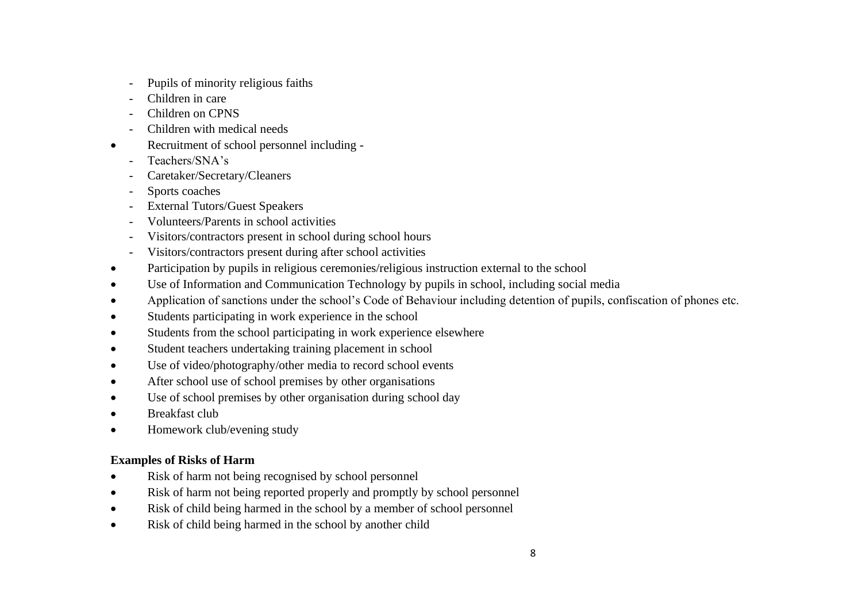- Pupils of minority religious faiths
- Children in care
- Children on CPNS
- Children with medical needs
- Recruitment of school personnel including
	- Teachers/SNA's
	- Caretaker/Secretary/Cleaners
	- Sports coaches
	- External Tutors/Guest Speakers
	- Volunteers/Parents in school activities
	- Visitors/contractors present in school during school hours
	- Visitors/contractors present during after school activities
- Participation by pupils in religious ceremonies/religious instruction external to the school
- Use of Information and Communication Technology by pupils in school, including social media
- Application of sanctions under the school's Code of Behaviour including detention of pupils, confiscation of phones etc.
- Students participating in work experience in the school
- Students from the school participating in work experience elsewhere
- Student teachers undertaking training placement in school
- Use of video/photography/other media to record school events
- After school use of school premises by other organisations
- Use of school premises by other organisation during school day
- Breakfast club
- Homework club/evening study

### **Examples of Risks of Harm**

- Risk of harm not being recognised by school personnel
- Risk of harm not being reported properly and promptly by school personnel
- Risk of child being harmed in the school by a member of school personnel
- Risk of child being harmed in the school by another child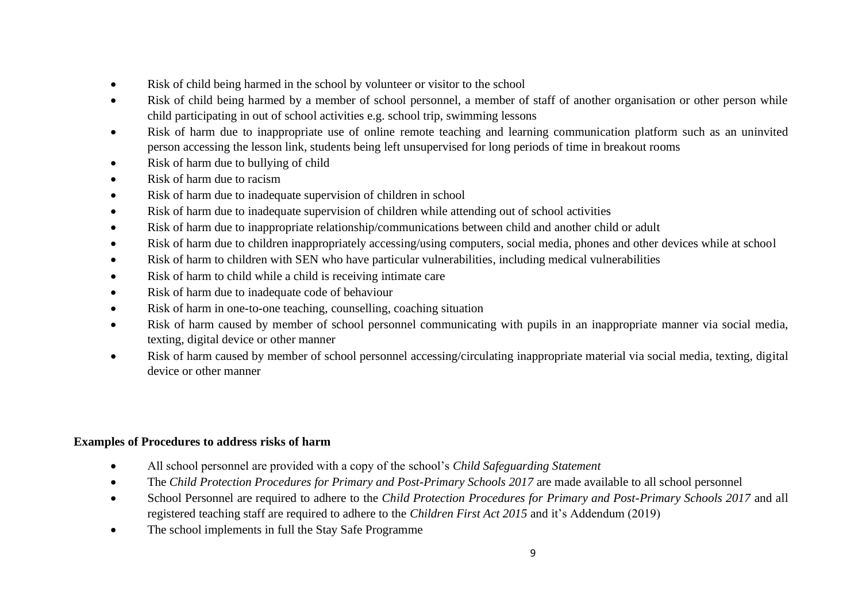- Risk of child being harmed in the school by volunteer or visitor to the school
- Risk of child being harmed by a member of school personnel, a member of staff of another organisation or other person while child participating in out of school activities e.g. school trip, swimming lessons
- Risk of harm due to inappropriate use of online remote teaching and learning communication platform such as an uninvited person accessing the lesson link, students being left unsupervised for long periods of time in breakout rooms
- Risk of harm due to bullying of child
- Risk of harm due to racism
- Risk of harm due to inadequate supervision of children in school
- Risk of harm due to inadequate supervision of children while attending out of school activities
- Risk of harm due to inappropriate relationship/communications between child and another child or adult
- Risk of harm due to children inappropriately accessing/using computers, social media, phones and other devices while at school
- Risk of harm to children with SEN who have particular vulnerabilities, including medical vulnerabilities
- Risk of harm to child while a child is receiving intimate care
- Risk of harm due to inadequate code of behaviour
- Risk of harm in one-to-one teaching, counselling, coaching situation
- Risk of harm caused by member of school personnel communicating with pupils in an inappropriate manner via social media, texting, digital device or other manner
- Risk of harm caused by member of school personnel accessing/circulating inappropriate material via social media, texting, digital device or other manner

### **Examples of Procedures to address risks of harm**

- All school personnel are provided with a copy of the school's *Child Safeguarding Statement*
- The *Child Protection Procedures for Primary and Post-Primary Schools 2017* are made available to all school personnel
- School Personnel are required to adhere to the *Child Protection Procedures for Primary and Post-Primary Schools 2017* and all registered teaching staff are required to adhere to the *Children First Act 2015* and it's Addendum (2019)
- The school implements in full the Stay Safe Programme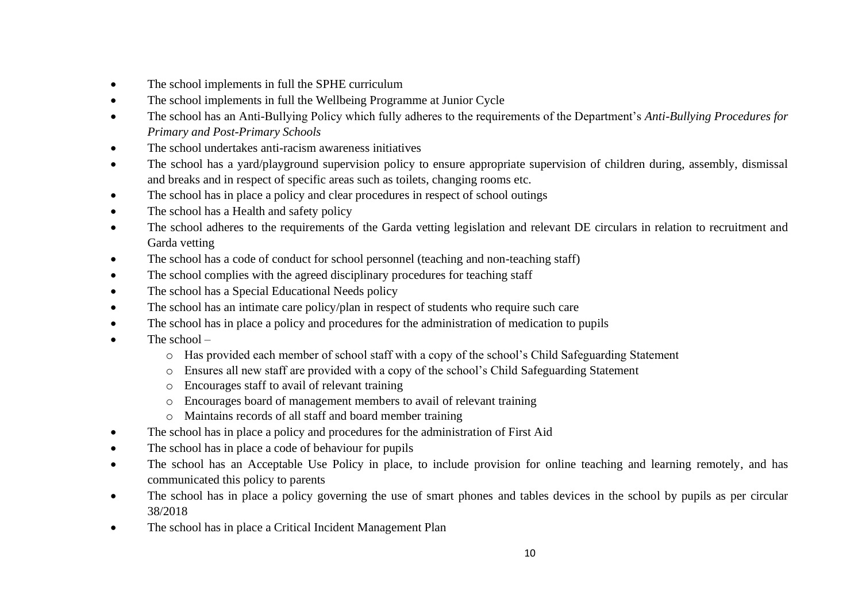- The school implements in full the SPHE curriculum
- The school implements in full the Wellbeing Programme at Junior Cycle
- The school has an Anti-Bullying Policy which fully adheres to the requirements of the Department's *Anti-Bullying Procedures for Primary and Post-Primary Schools*
- The school undertakes anti-racism awareness initiatives
- The school has a yard/playground supervision policy to ensure appropriate supervision of children during, assembly, dismissal and breaks and in respect of specific areas such as toilets, changing rooms etc.
- The school has in place a policy and clear procedures in respect of school outings
- The school has a Health and safety policy
- The school adheres to the requirements of the Garda vetting legislation and relevant DE circulars in relation to recruitment and Garda vetting
- The school has a code of conduct for school personnel (teaching and non-teaching staff)
- The school complies with the agreed disciplinary procedures for teaching staff
- The school has a Special Educational Needs policy
- The school has an intimate care policy/plan in respect of students who require such care
- The school has in place a policy and procedures for the administration of medication to pupils
- The school  $$ 
	- o Has provided each member of school staff with a copy of the school's Child Safeguarding Statement
	- o Ensures all new staff are provided with a copy of the school's Child Safeguarding Statement
	- o Encourages staff to avail of relevant training
	- o Encourages board of management members to avail of relevant training
	- o Maintains records of all staff and board member training
- The school has in place a policy and procedures for the administration of First Aid
- The school has in place a code of behaviour for pupils
- The school has an Acceptable Use Policy in place, to include provision for online teaching and learning remotely, and has communicated this policy to parents
- The school has in place a policy governing the use of smart phones and tables devices in the school by pupils as per circular 38/2018
- The school has in place a Critical Incident Management Plan